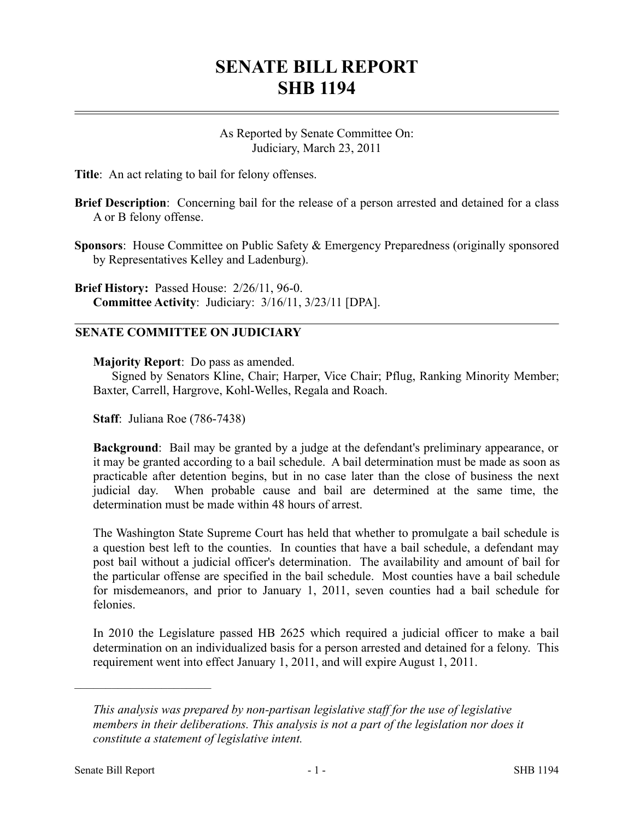## **SENATE BILL REPORT SHB 1194**

As Reported by Senate Committee On: Judiciary, March 23, 2011

**Title**: An act relating to bail for felony offenses.

- **Brief Description**: Concerning bail for the release of a person arrested and detained for a class A or B felony offense.
- **Sponsors**: House Committee on Public Safety & Emergency Preparedness (originally sponsored by Representatives Kelley and Ladenburg).

**Brief History:** Passed House: 2/26/11, 96-0. **Committee Activity**: Judiciary: 3/16/11, 3/23/11 [DPA].

## **SENATE COMMITTEE ON JUDICIARY**

**Majority Report**: Do pass as amended.

Signed by Senators Kline, Chair; Harper, Vice Chair; Pflug, Ranking Minority Member; Baxter, Carrell, Hargrove, Kohl-Welles, Regala and Roach.

**Staff**: Juliana Roe (786-7438)

**Background**: Bail may be granted by a judge at the defendant's preliminary appearance, or it may be granted according to a bail schedule. A bail determination must be made as soon as practicable after detention begins, but in no case later than the close of business the next judicial day. When probable cause and bail are determined at the same time, the determination must be made within 48 hours of arrest.

The Washington State Supreme Court has held that whether to promulgate a bail schedule is a question best left to the counties. In counties that have a bail schedule, a defendant may post bail without a judicial officer's determination. The availability and amount of bail for the particular offense are specified in the bail schedule. Most counties have a bail schedule for misdemeanors, and prior to January 1, 2011, seven counties had a bail schedule for felonies.

In 2010 the Legislature passed HB 2625 which required a judicial officer to make a bail determination on an individualized basis for a person arrested and detained for a felony. This requirement went into effect January 1, 2011, and will expire August 1, 2011.

––––––––––––––––––––––

*This analysis was prepared by non-partisan legislative staff for the use of legislative members in their deliberations. This analysis is not a part of the legislation nor does it constitute a statement of legislative intent.*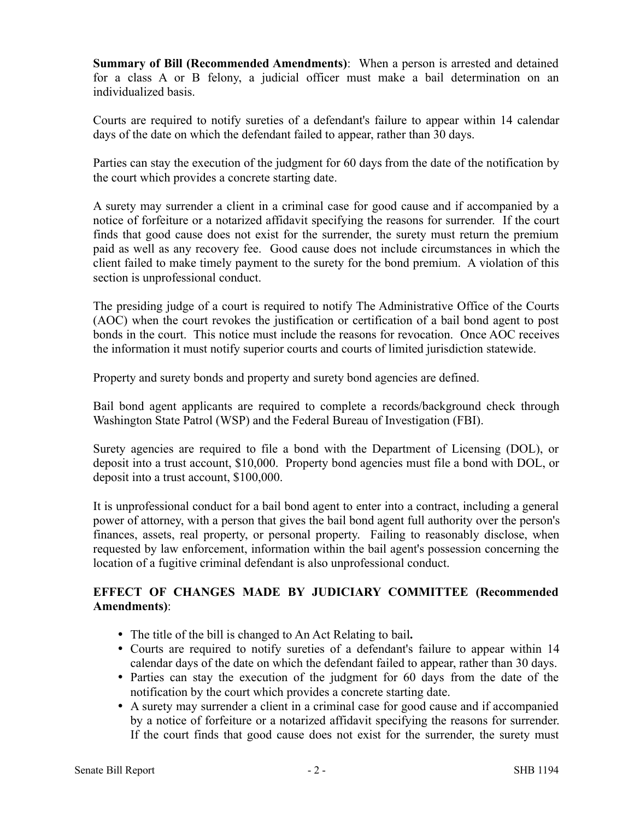**Summary of Bill (Recommended Amendments)**: When a person is arrested and detained for a class A or B felony, a judicial officer must make a bail determination on an individualized basis.

Courts are required to notify sureties of a defendant's failure to appear within 14 calendar days of the date on which the defendant failed to appear, rather than 30 days.

Parties can stay the execution of the judgment for 60 days from the date of the notification by the court which provides a concrete starting date.

A surety may surrender a client in a criminal case for good cause and if accompanied by a notice of forfeiture or a notarized affidavit specifying the reasons for surrender. If the court finds that good cause does not exist for the surrender, the surety must return the premium paid as well as any recovery fee. Good cause does not include circumstances in which the client failed to make timely payment to the surety for the bond premium. A violation of this section is unprofessional conduct.

The presiding judge of a court is required to notify The Administrative Office of the Courts (AOC) when the court revokes the justification or certification of a bail bond agent to post bonds in the court. This notice must include the reasons for revocation. Once AOC receives the information it must notify superior courts and courts of limited jurisdiction statewide.

Property and surety bonds and property and surety bond agencies are defined.

Bail bond agent applicants are required to complete a records/background check through Washington State Patrol (WSP) and the Federal Bureau of Investigation (FBI).

Surety agencies are required to file a bond with the Department of Licensing (DOL), or deposit into a trust account, \$10,000. Property bond agencies must file a bond with DOL, or deposit into a trust account, \$100,000.

It is unprofessional conduct for a bail bond agent to enter into a contract, including a general power of attorney, with a person that gives the bail bond agent full authority over the person's finances, assets, real property, or personal property. Failing to reasonably disclose, when requested by law enforcement, information within the bail agent's possession concerning the location of a fugitive criminal defendant is also unprofessional conduct.

## **EFFECT OF CHANGES MADE BY JUDICIARY COMMITTEE (Recommended Amendments)**:

- The title of the bill is changed to An Act Relating to bail**.**
- Courts are required to notify sureties of a defendant's failure to appear within 14 calendar days of the date on which the defendant failed to appear, rather than 30 days.
- Parties can stay the execution of the judgment for 60 days from the date of the notification by the court which provides a concrete starting date.
- A surety may surrender a client in a criminal case for good cause and if accompanied by a notice of forfeiture or a notarized affidavit specifying the reasons for surrender. If the court finds that good cause does not exist for the surrender, the surety must